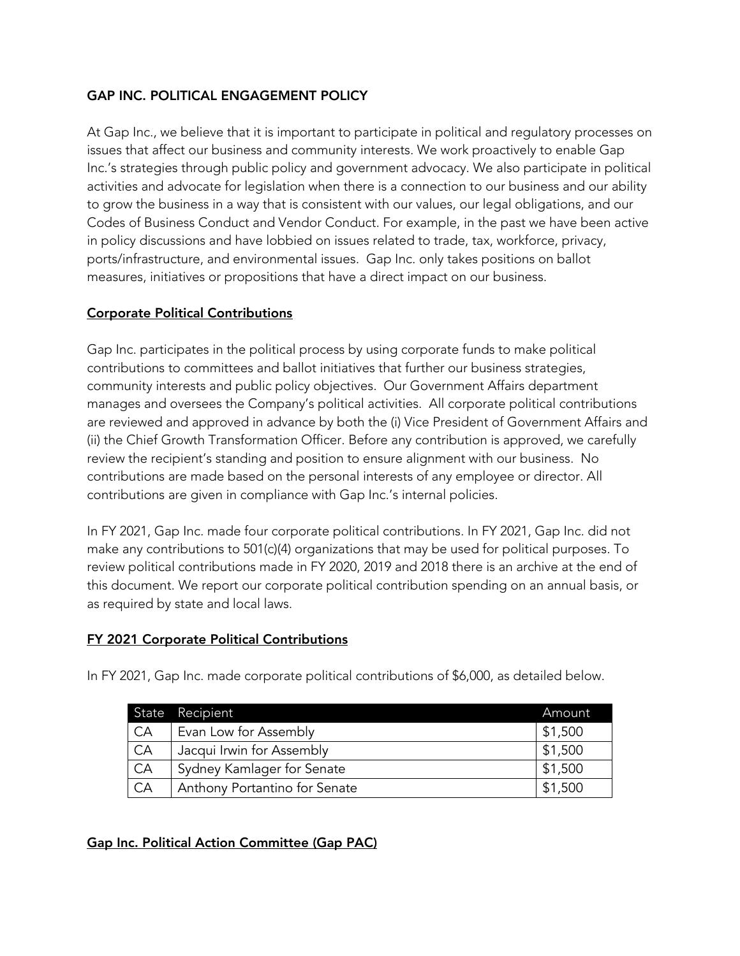# GAP INC. POLITICAL ENGAGEMENT POLICY

At Gap Inc., we believe that it is important to participate in political and regulatory processes on issues that affect our business and community interests. We work proactively to enable Gap Inc.'s strategies through public policy and government advocacy. We also participate in political activities and advocate for legislation when there is a connection to our business and our ability to grow the business in a way that is consistent with our values, our legal obligations, and our Codes of Business Conduct and Vendor Conduct. For example, in the past we have been active in policy discussions and have lobbied on issues related to trade, tax, workforce, privacy, ports/infrastructure, and environmental issues. Gap Inc. only takes positions on ballot measures, initiatives or propositions that have a direct impact on our business.

# Corporate Political Contributions

Gap Inc. participates in the political process by using corporate funds to make political contributions to committees and ballot initiatives that further our business strategies, community interests and public policy objectives. Our Government Affairs department manages and oversees the Company's political activities. All corporate political contributions are reviewed and approved in advance by both the (i) Vice President of Government Affairs and (ii) the Chief Growth Transformation Officer. Before any contribution is approved, we carefully review the recipient's standing and position to ensure alignment with our business. No contributions are made based on the personal interests of any employee or director. All contributions are given in compliance with Gap Inc.'s internal policies.

In FY 2021, Gap Inc. made four corporate political contributions. In FY 2021, Gap Inc. did not make any contributions to 501(c)(4) organizations that may be used for political purposes. To review political contributions made in FY 2020, 2019 and 2018 there is an archive at the end of this document. We report our corporate political contribution spending on an annual basis, or as required by state and local laws.

## FY 2021 Corporate Political Contributions

In FY 2021, Gap Inc. made corporate political contributions of \$6,000, as detailed below.

|    | State Recipient               | Amount  |
|----|-------------------------------|---------|
| CA | Evan Low for Assembly         | \$1,500 |
| CA | Jacqui Irwin for Assembly     | \$1,500 |
| CA | Sydney Kamlager for Senate    | \$1,500 |
| CA | Anthony Portantino for Senate | \$1,500 |

# Gap Inc. Political Action Committee (Gap PAC)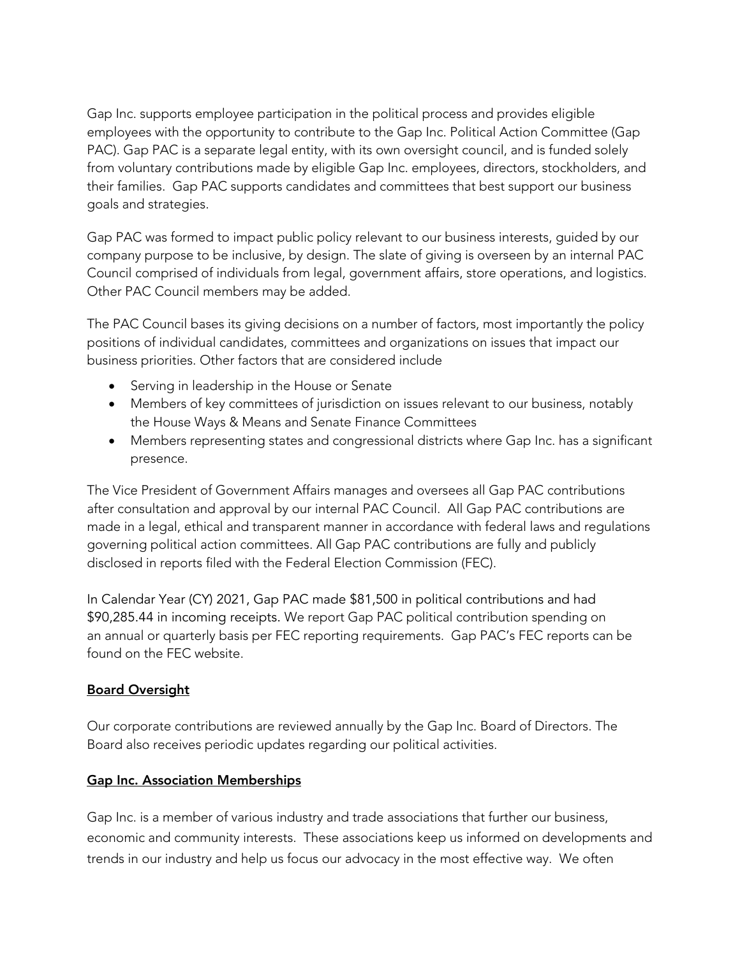Gap Inc. supports employee participation in the political process and provides eligible employees with the opportunity to contribute to the Gap Inc. Political Action Committee (Gap PAC). Gap PAC is a separate legal entity, with its own oversight council, and is funded solely from voluntary contributions made by eligible Gap Inc. employees, directors, stockholders, and their families. Gap PAC supports candidates and committees that best support our business goals and strategies.

Gap PAC was formed to impact public policy relevant to our business interests, guided by our company purpose to be inclusive, by design. The slate of giving is overseen by an internal PAC Council comprised of individuals from legal, government affairs, store operations, and logistics. Other PAC Council members may be added.

The PAC Council bases its giving decisions on a number of factors, most importantly the policy positions of individual candidates, committees and organizations on issues that impact our business priorities. Other factors that are considered include

- Serving in leadership in the House or Senate
- Members of key committees of jurisdiction on issues relevant to our business, notably the House Ways & Means and Senate Finance Committees
- Members representing states and congressional districts where Gap Inc. has a significant presence.

The Vice President of Government Affairs manages and oversees all Gap PAC contributions after consultation and approval by our internal PAC Council. All Gap PAC contributions are made in a legal, ethical and transparent manner in accordance with federal laws and regulations governing political action committees. All Gap PAC contributions are fully and publicly disclosed in reports filed with the Federal Election Commission (FEC).

In Calendar Year (CY) 2021, Gap PAC made \$81,500 in political contributions and had \$90,285.44 in incoming receipts. We report Gap PAC political contribution spending on an annual or quarterly basis per FEC reporting requirements. Gap PAC's FEC reports can be found on the FEC website.

## Board Oversight

Our corporate contributions are reviewed annually by the Gap Inc. Board of Directors. The Board also receives periodic updates regarding our political activities.

## Gap Inc. Association Memberships

Gap Inc. is a member of various industry and trade associations that further our business, economic and community interests. These associations keep us informed on developments and trends in our industry and help us focus our advocacy in the most effective way. We often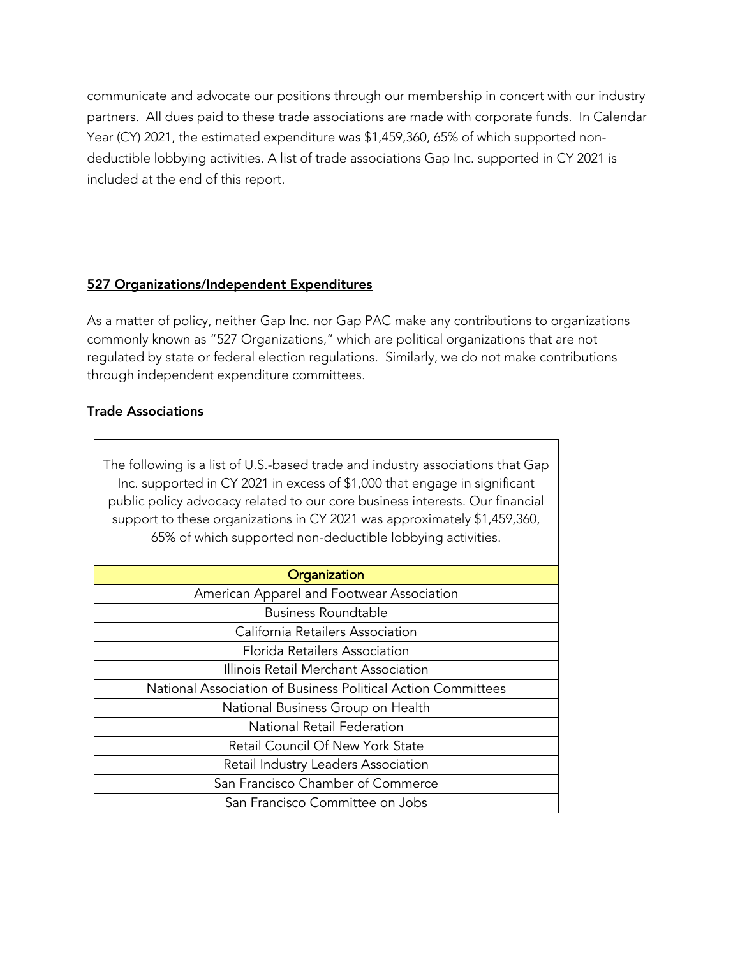communicate and advocate our positions through our membership in concert with our industry partners. All dues paid to these trade associations are made with corporate funds. In Calendar Year (CY) 2021, the estimated expenditure was \$1,459,360, 65% of which supported nondeductible lobbying activities. A list of trade associations Gap Inc. supported in CY 2021 is included at the end of this report.

#### 527 Organizations/Independent Expenditures

As a matter of policy, neither Gap Inc. nor Gap PAC make any contributions to organizations commonly known as "527 Organizations," which are political organizations that are not regulated by state or federal election regulations. Similarly, we do not make contributions through independent expenditure committees.

#### Trade Associations

The following is a list of U.S.-based trade and industry associations that Gap Inc. supported in CY 2021 in excess of \$1,000 that engage in significant public policy advocacy related to our core business interests. Our financial support to these organizations in CY 2021 was approximately \$1,459,360, 65% of which supported non-deductible lobbying activities.

| Organization                                                 |
|--------------------------------------------------------------|
| American Apparel and Footwear Association                    |
| <b>Business Roundtable</b>                                   |
| California Retailers Association                             |
| Florida Retailers Association                                |
| Illinois Retail Merchant Association                         |
| National Association of Business Political Action Committees |
| National Business Group on Health                            |
| National Retail Federation                                   |
| Retail Council Of New York State                             |
| Retail Industry Leaders Association                          |
| San Francisco Chamber of Commerce                            |
| San Francisco Committee on Jobs                              |